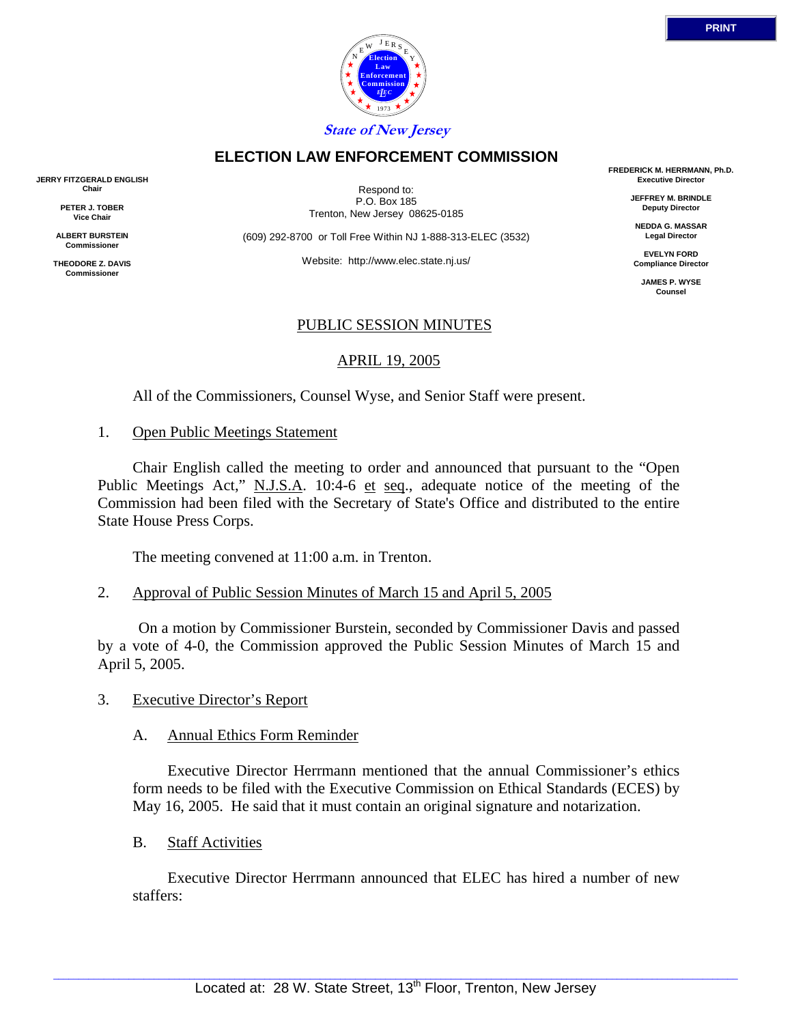



**State of New Jersey**

## **ELECTION LAW ENFORCEMENT COMMISSION**

**JERRY FITZGERALD ENGLISH Chair**

> **PETER J. TOBER Vice Chair**

**ALBERT BURSTEIN Commissioner**

**THEODORE Z. DAVIS Commissione** 

Respond to: P.O. Box 185 Trenton, New Jersey 08625-0185

(609) 292-8700 or Toll Free Within NJ 1-888-313-ELEC (3532)

Website: http://www.elec.state.nj.us/

## PUBLIC SESSION MINUTES

## APRIL 19, 2005

All of the Commissioners, Counsel Wyse, and Senior Staff were present.

### 1. Open Public Meetings Statement

 Chair English called the meeting to order and announced that pursuant to the "Open Public Meetings Act," N.J.S.A. 10:4-6 et seq., adequate notice of the meeting of the Commission had been filed with the Secretary of State's Office and distributed to the entire State House Press Corps.

The meeting convened at 11:00 a.m. in Trenton.

2. Approval of Public Session Minutes of March 15 and April 5, 2005

 On a motion by Commissioner Burstein, seconded by Commissioner Davis and passed by a vote of 4-0, the Commission approved the Public Session Minutes of March 15 and April 5, 2005.

3. Executive Director's Report

### A. Annual Ethics Form Reminder

 Executive Director Herrmann mentioned that the annual Commissioner's ethics form needs to be filed with the Executive Commission on Ethical Standards (ECES) by May 16, 2005. He said that it must contain an original signature and notarization.

B. Staff Activities

 Executive Director Herrmann announced that ELEC has hired a number of new staffers:

**FREDERICK M. HERRMANN, Ph.D. Executive Director**

> **JEFFREY M. BRINDLE Deputy Director**

**NEDDA G. MASSAR Legal Director**

**EVELYN FORD Compliance Director**

**JAMES P. WYSE Counsel**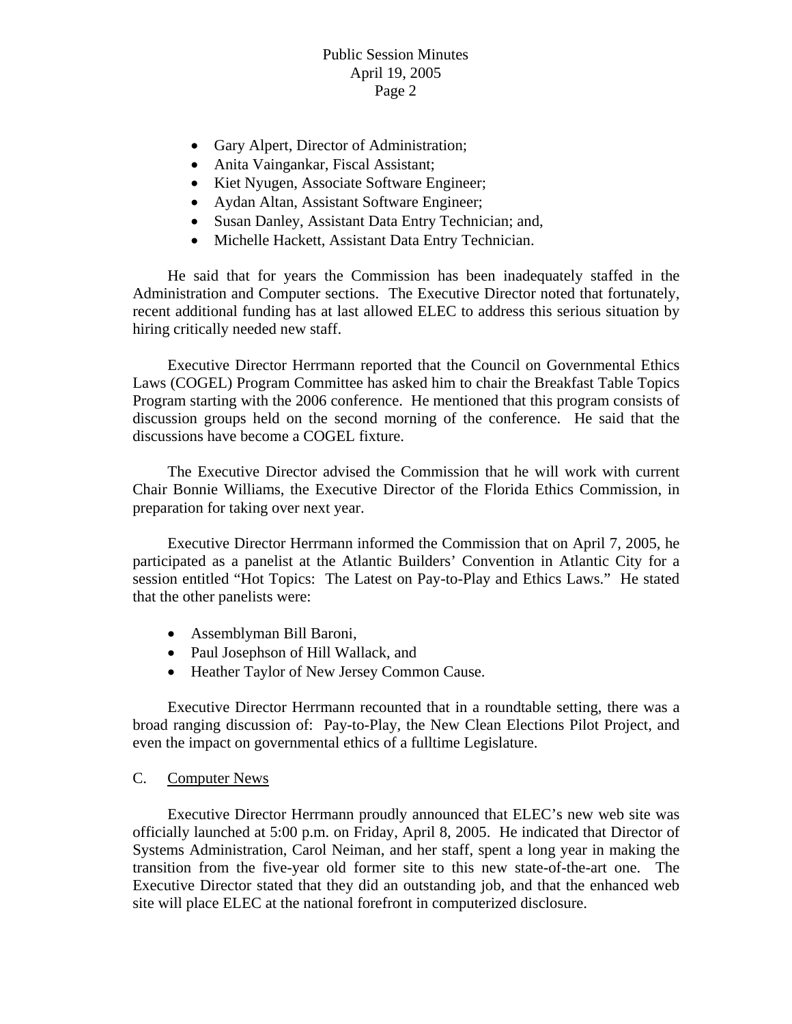- Gary Alpert, Director of Administration;
- Anita Vaingankar, Fiscal Assistant;
- Kiet Nyugen, Associate Software Engineer;
- Aydan Altan, Assistant Software Engineer;
- Susan Danley, Assistant Data Entry Technician; and,
- Michelle Hackett, Assistant Data Entry Technician.

 He said that for years the Commission has been inadequately staffed in the Administration and Computer sections. The Executive Director noted that fortunately, recent additional funding has at last allowed ELEC to address this serious situation by hiring critically needed new staff.

 Executive Director Herrmann reported that the Council on Governmental Ethics Laws (COGEL) Program Committee has asked him to chair the Breakfast Table Topics Program starting with the 2006 conference. He mentioned that this program consists of discussion groups held on the second morning of the conference. He said that the discussions have become a COGEL fixture.

 The Executive Director advised the Commission that he will work with current Chair Bonnie Williams, the Executive Director of the Florida Ethics Commission, in preparation for taking over next year.

 Executive Director Herrmann informed the Commission that on April 7, 2005, he participated as a panelist at the Atlantic Builders' Convention in Atlantic City for a session entitled "Hot Topics: The Latest on Pay-to-Play and Ethics Laws." He stated that the other panelists were:

- Assemblyman Bill Baroni,
- Paul Josephson of Hill Wallack, and
- Heather Taylor of New Jersey Common Cause.

 Executive Director Herrmann recounted that in a roundtable setting, there was a broad ranging discussion of: Pay-to-Play, the New Clean Elections Pilot Project, and even the impact on governmental ethics of a fulltime Legislature.

## C. Computer News

 Executive Director Herrmann proudly announced that ELEC's new web site was officially launched at 5:00 p.m. on Friday, April 8, 2005. He indicated that Director of Systems Administration, Carol Neiman, and her staff, spent a long year in making the transition from the five-year old former site to this new state-of-the-art one. The Executive Director stated that they did an outstanding job, and that the enhanced web site will place ELEC at the national forefront in computerized disclosure.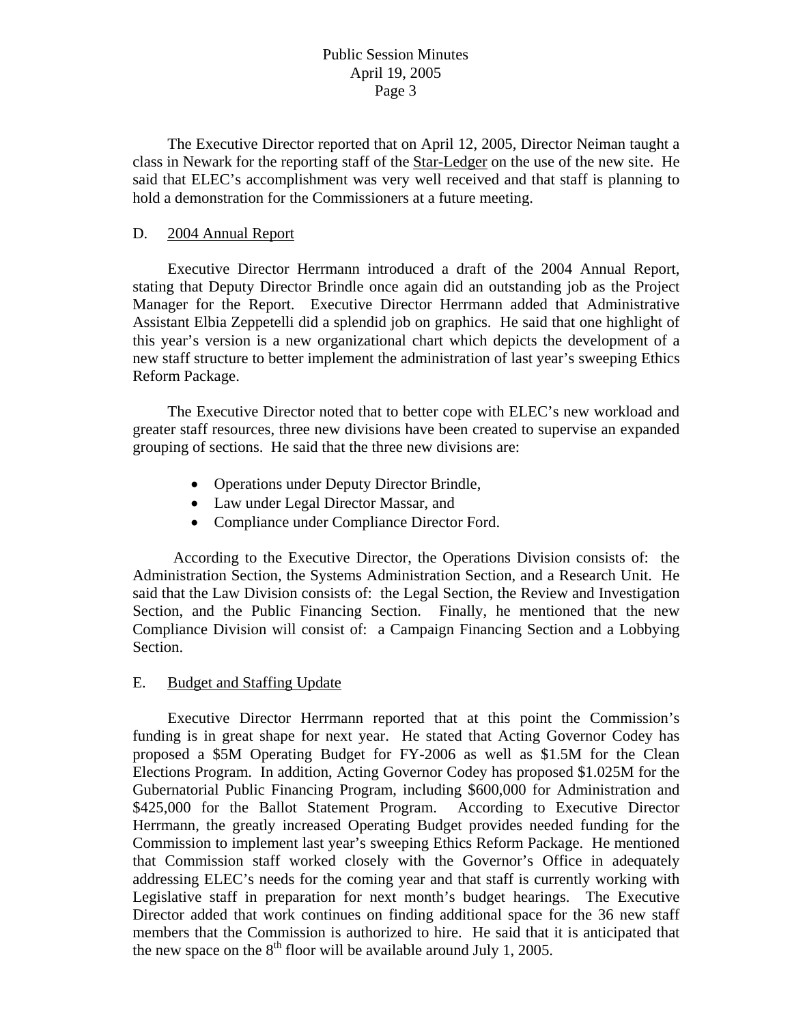The Executive Director reported that on April 12, 2005, Director Neiman taught a class in Newark for the reporting staff of the Star-Ledger on the use of the new site. He said that ELEC's accomplishment was very well received and that staff is planning to hold a demonstration for the Commissioners at a future meeting.

## D. 2004 Annual Report

 Executive Director Herrmann introduced a draft of the 2004 Annual Report, stating that Deputy Director Brindle once again did an outstanding job as the Project Manager for the Report. Executive Director Herrmann added that Administrative Assistant Elbia Zeppetelli did a splendid job on graphics. He said that one highlight of this year's version is a new organizational chart which depicts the development of a new staff structure to better implement the administration of last year's sweeping Ethics Reform Package.

 The Executive Director noted that to better cope with ELEC's new workload and greater staff resources, three new divisions have been created to supervise an expanded grouping of sections. He said that the three new divisions are:

- Operations under Deputy Director Brindle,
- Law under Legal Director Massar, and
- Compliance under Compliance Director Ford.

According to the Executive Director, the Operations Division consists of: the Administration Section, the Systems Administration Section, and a Research Unit. He said that the Law Division consists of: the Legal Section, the Review and Investigation Section, and the Public Financing Section. Finally, he mentioned that the new Compliance Division will consist of: a Campaign Financing Section and a Lobbying Section.

## E. Budget and Staffing Update

 Executive Director Herrmann reported that at this point the Commission's funding is in great shape for next year. He stated that Acting Governor Codey has proposed a \$5M Operating Budget for FY-2006 as well as \$1.5M for the Clean Elections Program. In addition, Acting Governor Codey has proposed \$1.025M for the Gubernatorial Public Financing Program, including \$600,000 for Administration and \$425,000 for the Ballot Statement Program. According to Executive Director Herrmann, the greatly increased Operating Budget provides needed funding for the Commission to implement last year's sweeping Ethics Reform Package. He mentioned that Commission staff worked closely with the Governor's Office in adequately addressing ELEC's needs for the coming year and that staff is currently working with Legislative staff in preparation for next month's budget hearings. The Executive Director added that work continues on finding additional space for the 36 new staff members that the Commission is authorized to hire. He said that it is anticipated that the new space on the  $8<sup>th</sup>$  floor will be available around July 1, 2005.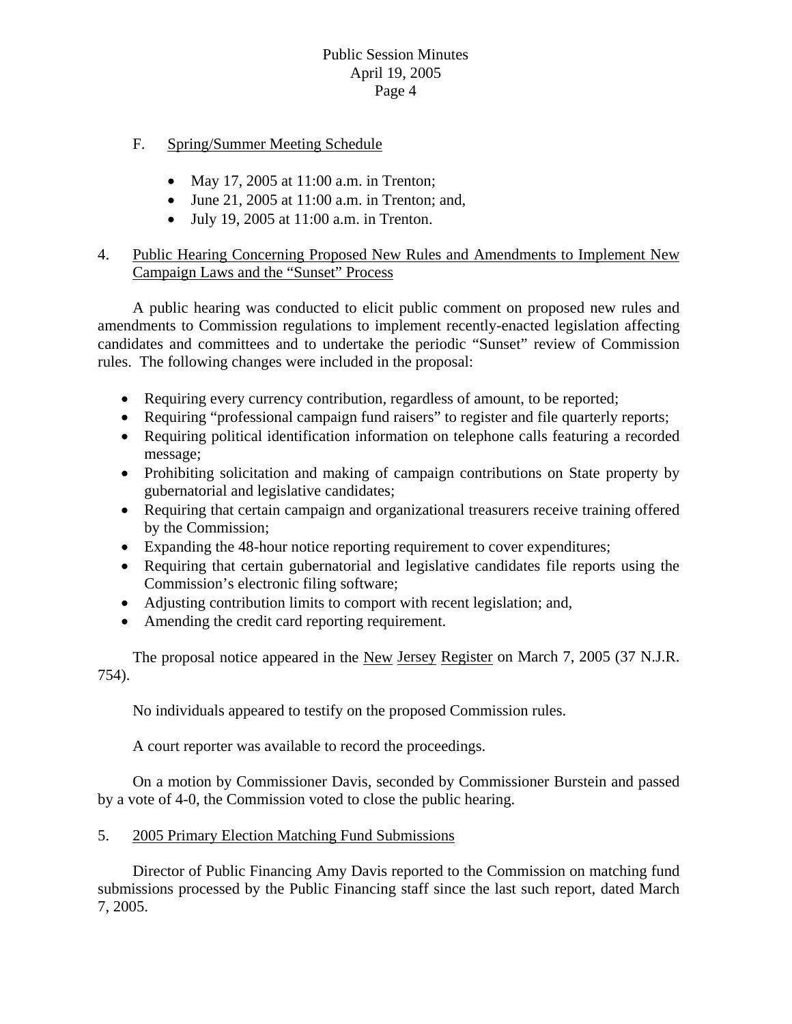- F. Spring/Summer Meeting Schedule
	- May 17, 2005 at 11:00 a.m. in Trenton;
	- June 21, 2005 at 11:00 a.m. in Trenton; and,
	- July 19, 2005 at  $11:00$  a.m. in Trenton.

# 4. Public Hearing Concerning Proposed New Rules and Amendments to Implement New Campaign Laws and the "Sunset" Process

 A public hearing was conducted to elicit public comment on proposed new rules and amendments to Commission regulations to implement recently-enacted legislation affecting candidates and committees and to undertake the periodic "Sunset" review of Commission rules. The following changes were included in the proposal:

- Requiring every currency contribution, regardless of amount, to be reported;
- Requiring "professional campaign fund raisers" to register and file quarterly reports;
- Requiring political identification information on telephone calls featuring a recorded message;
- Prohibiting solicitation and making of campaign contributions on State property by gubernatorial and legislative candidates;
- Requiring that certain campaign and organizational treasurers receive training offered by the Commission;
- Expanding the 48-hour notice reporting requirement to cover expenditures;
- Requiring that certain gubernatorial and legislative candidates file reports using the Commission's electronic filing software;
- Adjusting contribution limits to comport with recent legislation; and,
- Amending the credit card reporting requirement.

 The proposal notice appeared in the New Jersey Register on March 7, 2005 (37 N.J.R. 754).

No individuals appeared to testify on the proposed Commission rules.

A court reporter was available to record the proceedings.

 On a motion by Commissioner Davis, seconded by Commissioner Burstein and passed by a vote of 4-0, the Commission voted to close the public hearing.

# 5. 2005 Primary Election Matching Fund Submissions

 Director of Public Financing Amy Davis reported to the Commission on matching fund submissions processed by the Public Financing staff since the last such report, dated March 7, 2005.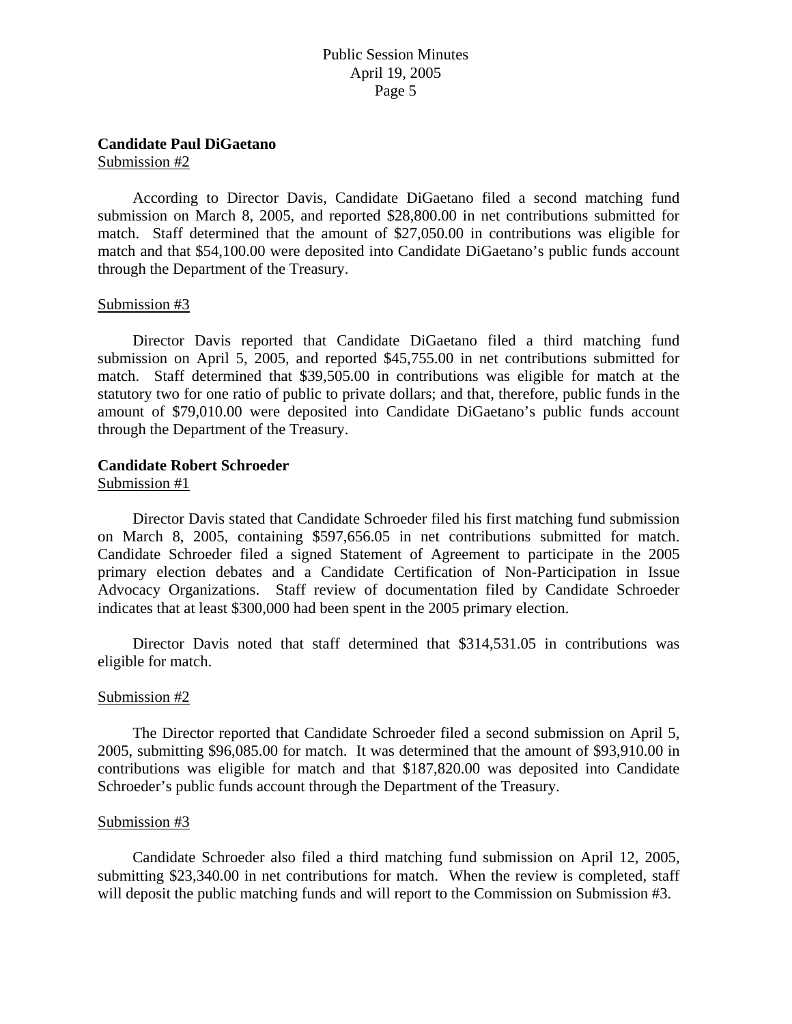## **Candidate Paul DiGaetano**

Submission #2

 According to Director Davis, Candidate DiGaetano filed a second matching fund submission on March 8, 2005, and reported \$28,800.00 in net contributions submitted for match. Staff determined that the amount of \$27,050.00 in contributions was eligible for match and that \$54,100.00 were deposited into Candidate DiGaetano's public funds account through the Department of the Treasury.

### Submission #3

 Director Davis reported that Candidate DiGaetano filed a third matching fund submission on April 5, 2005, and reported \$45,755.00 in net contributions submitted for match. Staff determined that \$39,505.00 in contributions was eligible for match at the statutory two for one ratio of public to private dollars; and that, therefore, public funds in the amount of \$79,010.00 were deposited into Candidate DiGaetano's public funds account through the Department of the Treasury.

### **Candidate Robert Schroeder**

Submission #1

 Director Davis stated that Candidate Schroeder filed his first matching fund submission on March 8, 2005, containing \$597,656.05 in net contributions submitted for match. Candidate Schroeder filed a signed Statement of Agreement to participate in the 2005 primary election debates and a Candidate Certification of Non-Participation in Issue Advocacy Organizations. Staff review of documentation filed by Candidate Schroeder indicates that at least \$300,000 had been spent in the 2005 primary election.

 Director Davis noted that staff determined that \$314,531.05 in contributions was eligible for match.

### Submission #2

 The Director reported that Candidate Schroeder filed a second submission on April 5, 2005, submitting \$96,085.00 for match. It was determined that the amount of \$93,910.00 in contributions was eligible for match and that \$187,820.00 was deposited into Candidate Schroeder's public funds account through the Department of the Treasury.

#### Submission #3

 Candidate Schroeder also filed a third matching fund submission on April 12, 2005, submitting \$23,340.00 in net contributions for match. When the review is completed, staff will deposit the public matching funds and will report to the Commission on Submission #3.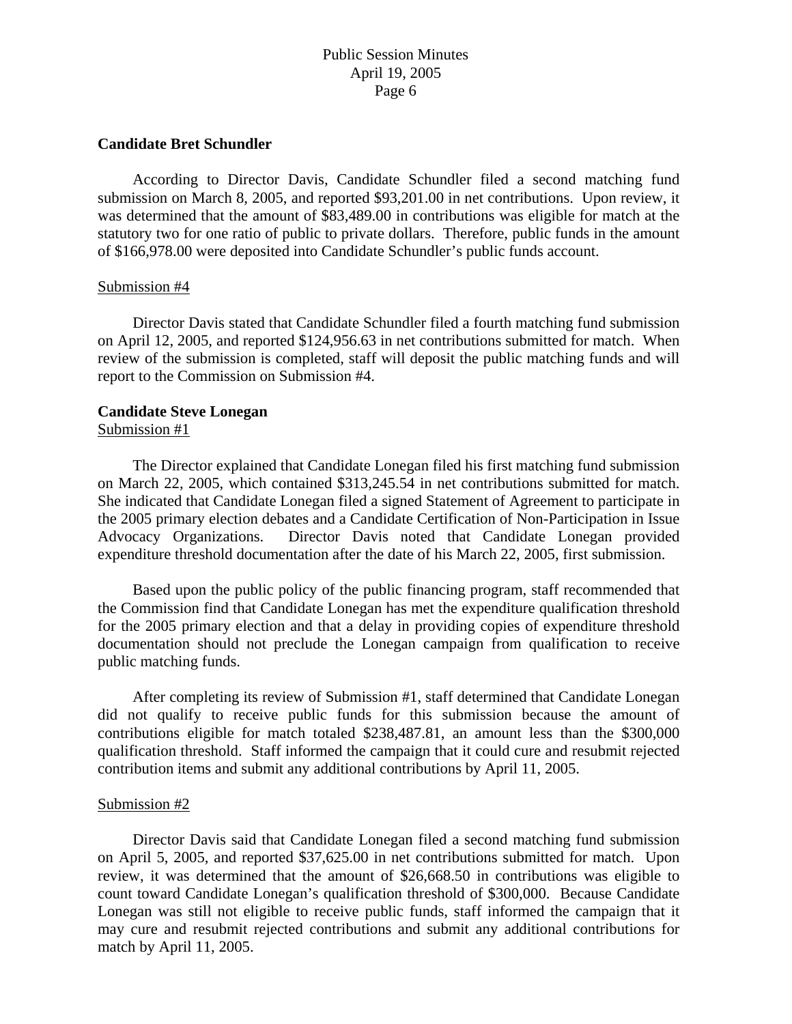### **Candidate Bret Schundler**

 According to Director Davis, Candidate Schundler filed a second matching fund submission on March 8, 2005, and reported \$93,201.00 in net contributions. Upon review, it was determined that the amount of \$83,489.00 in contributions was eligible for match at the statutory two for one ratio of public to private dollars. Therefore, public funds in the amount of \$166,978.00 were deposited into Candidate Schundler's public funds account.

#### Submission #4

 Director Davis stated that Candidate Schundler filed a fourth matching fund submission on April 12, 2005, and reported \$124,956.63 in net contributions submitted for match. When review of the submission is completed, staff will deposit the public matching funds and will report to the Commission on Submission #4.

### **Candidate Steve Lonegan**

#### Submission #1

 The Director explained that Candidate Lonegan filed his first matching fund submission on March 22, 2005, which contained \$313,245.54 in net contributions submitted for match. She indicated that Candidate Lonegan filed a signed Statement of Agreement to participate in the 2005 primary election debates and a Candidate Certification of Non-Participation in Issue Advocacy Organizations. Director Davis noted that Candidate Lonegan provided expenditure threshold documentation after the date of his March 22, 2005, first submission.

 Based upon the public policy of the public financing program, staff recommended that the Commission find that Candidate Lonegan has met the expenditure qualification threshold for the 2005 primary election and that a delay in providing copies of expenditure threshold documentation should not preclude the Lonegan campaign from qualification to receive public matching funds.

 After completing its review of Submission #1, staff determined that Candidate Lonegan did not qualify to receive public funds for this submission because the amount of contributions eligible for match totaled \$238,487.81, an amount less than the \$300,000 qualification threshold. Staff informed the campaign that it could cure and resubmit rejected contribution items and submit any additional contributions by April 11, 2005.

### Submission #2

 Director Davis said that Candidate Lonegan filed a second matching fund submission on April 5, 2005, and reported \$37,625.00 in net contributions submitted for match. Upon review, it was determined that the amount of \$26,668.50 in contributions was eligible to count toward Candidate Lonegan's qualification threshold of \$300,000. Because Candidate Lonegan was still not eligible to receive public funds, staff informed the campaign that it may cure and resubmit rejected contributions and submit any additional contributions for match by April 11, 2005.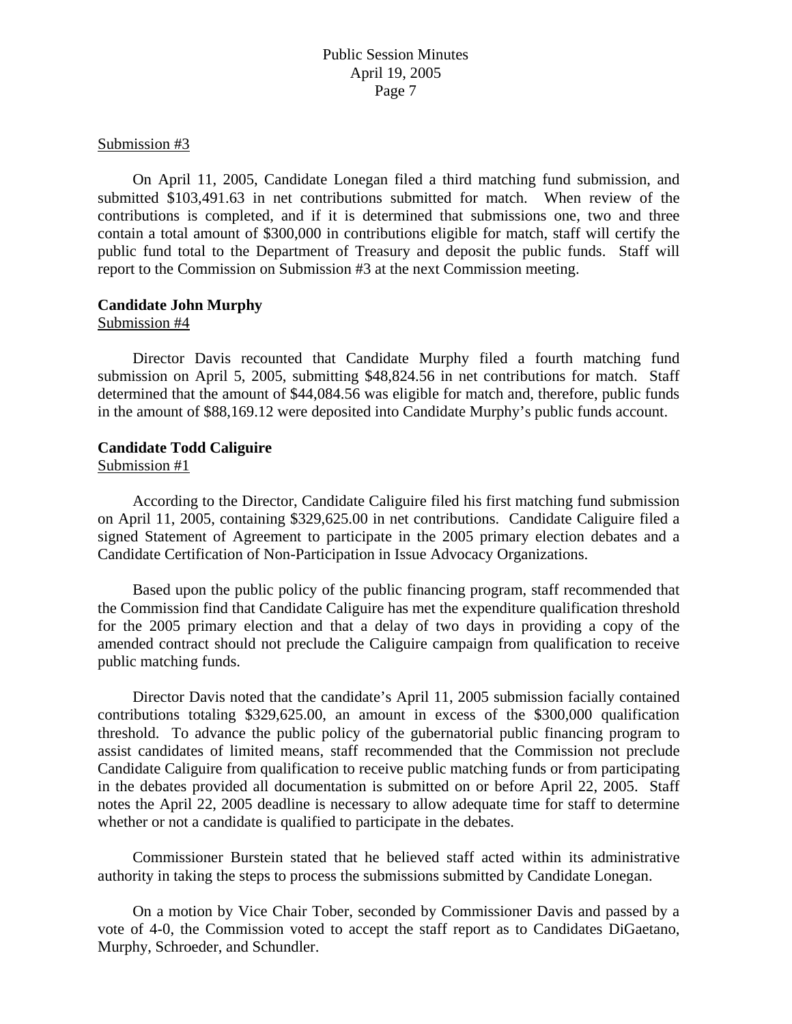#### Submission #3

 On April 11, 2005, Candidate Lonegan filed a third matching fund submission, and submitted \$103,491.63 in net contributions submitted for match. When review of the contributions is completed, and if it is determined that submissions one, two and three contain a total amount of \$300,000 in contributions eligible for match, staff will certify the public fund total to the Department of Treasury and deposit the public funds. Staff will report to the Commission on Submission #3 at the next Commission meeting.

### **Candidate John Murphy**

### Submission #4

 Director Davis recounted that Candidate Murphy filed a fourth matching fund submission on April 5, 2005, submitting \$48,824.56 in net contributions for match. Staff determined that the amount of \$44,084.56 was eligible for match and, therefore, public funds in the amount of \$88,169.12 were deposited into Candidate Murphy's public funds account.

## **Candidate Todd Caliguire**

### Submission #1

 According to the Director, Candidate Caliguire filed his first matching fund submission on April 11, 2005, containing \$329,625.00 in net contributions. Candidate Caliguire filed a signed Statement of Agreement to participate in the 2005 primary election debates and a Candidate Certification of Non-Participation in Issue Advocacy Organizations.

 Based upon the public policy of the public financing program, staff recommended that the Commission find that Candidate Caliguire has met the expenditure qualification threshold for the 2005 primary election and that a delay of two days in providing a copy of the amended contract should not preclude the Caliguire campaign from qualification to receive public matching funds.

 Director Davis noted that the candidate's April 11, 2005 submission facially contained contributions totaling \$329,625.00, an amount in excess of the \$300,000 qualification threshold. To advance the public policy of the gubernatorial public financing program to assist candidates of limited means, staff recommended that the Commission not preclude Candidate Caliguire from qualification to receive public matching funds or from participating in the debates provided all documentation is submitted on or before April 22, 2005. Staff notes the April 22, 2005 deadline is necessary to allow adequate time for staff to determine whether or not a candidate is qualified to participate in the debates.

 Commissioner Burstein stated that he believed staff acted within its administrative authority in taking the steps to process the submissions submitted by Candidate Lonegan.

 On a motion by Vice Chair Tober, seconded by Commissioner Davis and passed by a vote of 4-0, the Commission voted to accept the staff report as to Candidates DiGaetano, Murphy, Schroeder, and Schundler.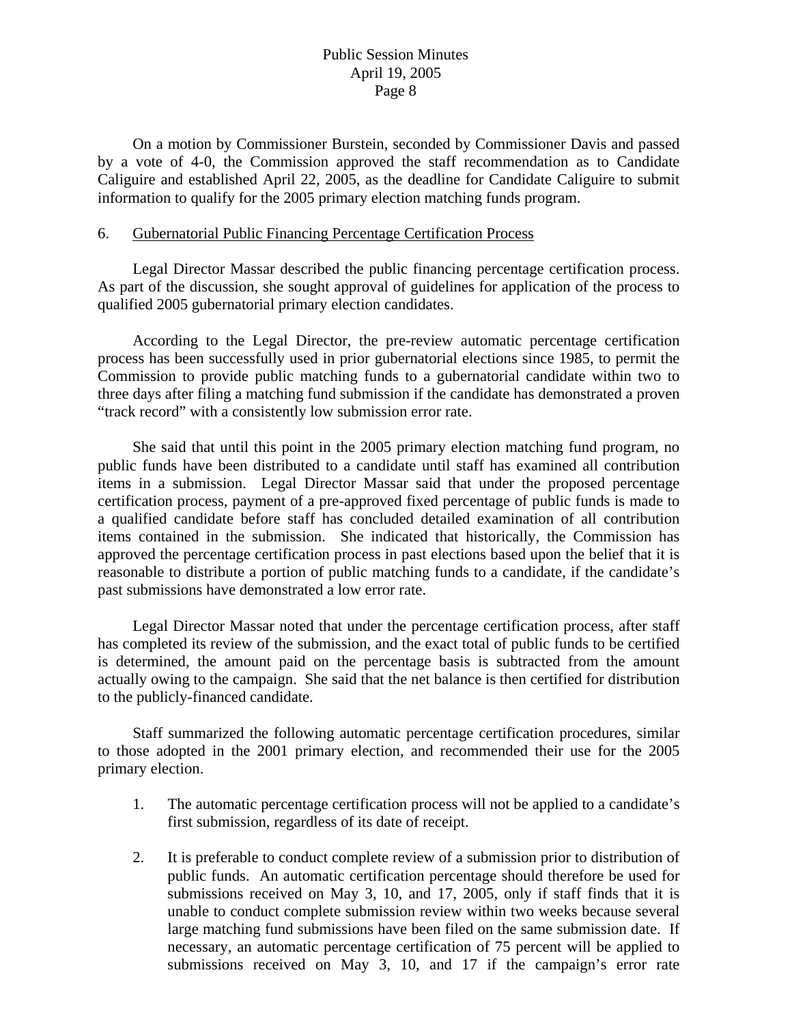On a motion by Commissioner Burstein, seconded by Commissioner Davis and passed by a vote of 4-0, the Commission approved the staff recommendation as to Candidate Caliguire and established April 22, 2005, as the deadline for Candidate Caliguire to submit information to qualify for the 2005 primary election matching funds program.

## 6. Gubernatorial Public Financing Percentage Certification Process

 Legal Director Massar described the public financing percentage certification process. As part of the discussion, she sought approval of guidelines for application of the process to qualified 2005 gubernatorial primary election candidates.

 According to the Legal Director, the pre-review automatic percentage certification process has been successfully used in prior gubernatorial elections since 1985, to permit the Commission to provide public matching funds to a gubernatorial candidate within two to three days after filing a matching fund submission if the candidate has demonstrated a proven "track record" with a consistently low submission error rate.

 She said that until this point in the 2005 primary election matching fund program, no public funds have been distributed to a candidate until staff has examined all contribution items in a submission. Legal Director Massar said that under the proposed percentage certification process, payment of a pre-approved fixed percentage of public funds is made to a qualified candidate before staff has concluded detailed examination of all contribution items contained in the submission. She indicated that historically, the Commission has approved the percentage certification process in past elections based upon the belief that it is reasonable to distribute a portion of public matching funds to a candidate, if the candidate's past submissions have demonstrated a low error rate.

 Legal Director Massar noted that under the percentage certification process, after staff has completed its review of the submission, and the exact total of public funds to be certified is determined, the amount paid on the percentage basis is subtracted from the amount actually owing to the campaign. She said that the net balance is then certified for distribution to the publicly-financed candidate.

 Staff summarized the following automatic percentage certification procedures, similar to those adopted in the 2001 primary election, and recommended their use for the 2005 primary election.

- 1. The automatic percentage certification process will not be applied to a candidate's first submission, regardless of its date of receipt.
- 2. It is preferable to conduct complete review of a submission prior to distribution of public funds. An automatic certification percentage should therefore be used for submissions received on May 3, 10, and 17, 2005, only if staff finds that it is unable to conduct complete submission review within two weeks because several large matching fund submissions have been filed on the same submission date. If necessary, an automatic percentage certification of 75 percent will be applied to submissions received on May 3, 10, and 17 if the campaign's error rate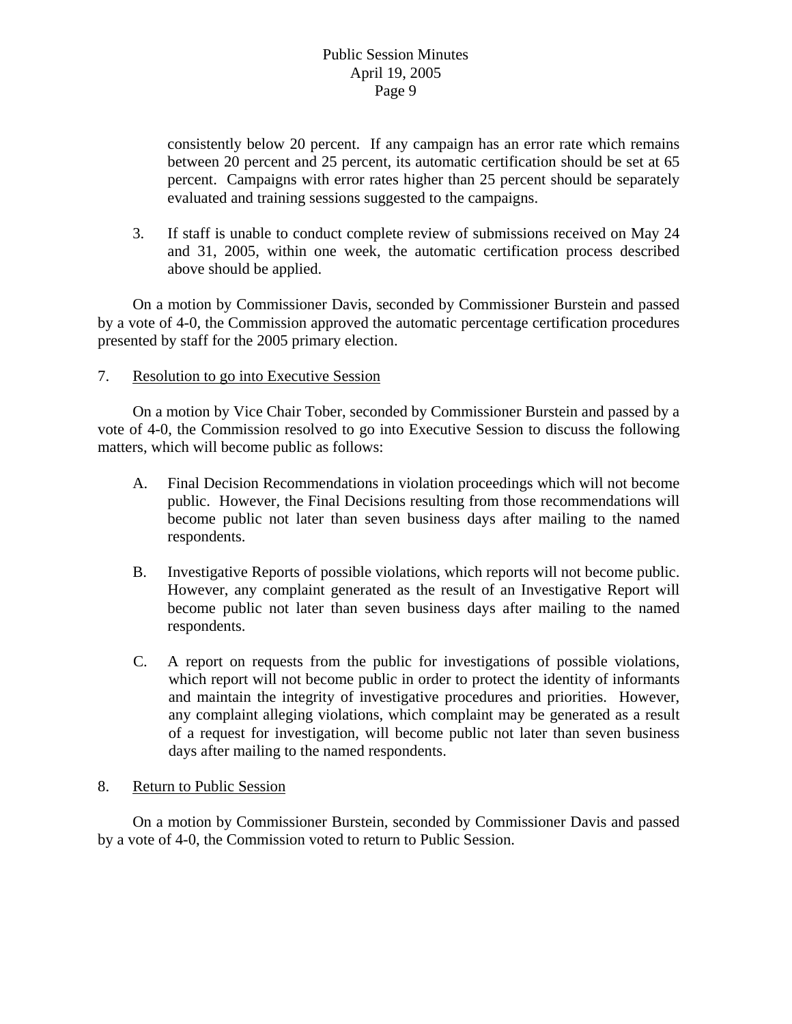consistently below 20 percent. If any campaign has an error rate which remains between 20 percent and 25 percent, its automatic certification should be set at 65 percent. Campaigns with error rates higher than 25 percent should be separately evaluated and training sessions suggested to the campaigns.

3. If staff is unable to conduct complete review of submissions received on May 24 and 31, 2005, within one week, the automatic certification process described above should be applied.

 On a motion by Commissioner Davis, seconded by Commissioner Burstein and passed by a vote of 4-0, the Commission approved the automatic percentage certification procedures presented by staff for the 2005 primary election.

## 7. Resolution to go into Executive Session

 On a motion by Vice Chair Tober, seconded by Commissioner Burstein and passed by a vote of 4-0, the Commission resolved to go into Executive Session to discuss the following matters, which will become public as follows:

- A. Final Decision Recommendations in violation proceedings which will not become public. However, the Final Decisions resulting from those recommendations will become public not later than seven business days after mailing to the named respondents.
- B. Investigative Reports of possible violations, which reports will not become public. However, any complaint generated as the result of an Investigative Report will become public not later than seven business days after mailing to the named respondents.
- C. A report on requests from the public for investigations of possible violations, which report will not become public in order to protect the identity of informants and maintain the integrity of investigative procedures and priorities. However, any complaint alleging violations, which complaint may be generated as a result of a request for investigation, will become public not later than seven business days after mailing to the named respondents.

## 8. Return to Public Session

On a motion by Commissioner Burstein, seconded by Commissioner Davis and passed by a vote of 4-0, the Commission voted to return to Public Session.